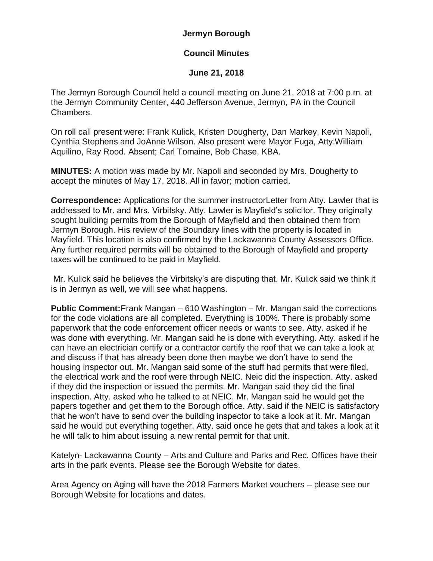## **Jermyn Borough**

## **Council Minutes**

## **June 21, 2018**

The Jermyn Borough Council held a council meeting on June 21, 2018 at 7:00 p.m. at the Jermyn Community Center, 440 Jefferson Avenue, Jermyn, PA in the Council Chambers.

On roll call present were: Frank Kulick, Kristen Dougherty, Dan Markey, Kevin Napoli, Cynthia Stephens and JoAnne Wilson. Also present were Mayor Fuga, Atty.William Aquilino, Ray Rood. Absent; Carl Tomaine, Bob Chase, KBA.

**MINUTES:** A motion was made by Mr. Napoli and seconded by Mrs. Dougherty to accept the minutes of May 17, 2018. All in favor; motion carried.

**Correspondence:** Applications for the summer instructorLetter from Atty. Lawler that is addressed to Mr. and Mrs. Virbitsky. Atty. Lawler is Mayfield's solicitor. They originally sought building permits from the Borough of Mayfield and then obtained them from Jermyn Borough. His review of the Boundary lines with the property is located in Mayfield. This location is also confirmed by the Lackawanna County Assessors Office. Any further required permits will be obtained to the Borough of Mayfield and property taxes will be continued to be paid in Mayfield.

Mr. Kulick said he believes the Virbitsky's are disputing that. Mr. Kulick said we think it is in Jermyn as well, we will see what happens.

**Public Comment:**Frank Mangan – 610 Washington – Mr. Mangan said the corrections for the code violations are all completed. Everything is 100%. There is probably some paperwork that the code enforcement officer needs or wants to see. Atty. asked if he was done with everything. Mr. Mangan said he is done with everything. Atty. asked if he can have an electrician certify or a contractor certify the roof that we can take a look at and discuss if that has already been done then maybe we don't have to send the housing inspector out. Mr. Mangan said some of the stuff had permits that were filed, the electrical work and the roof were through NEIC. Neic did the inspection. Atty. asked if they did the inspection or issued the permits. Mr. Mangan said they did the final inspection. Atty. asked who he talked to at NEIC. Mr. Mangan said he would get the papers together and get them to the Borough office. Atty. said if the NEIC is satisfactory that he won't have to send over the building inspector to take a look at it. Mr. Mangan said he would put everything together. Atty. said once he gets that and takes a look at it he will talk to him about issuing a new rental permit for that unit.

Katelyn- Lackawanna County – Arts and Culture and Parks and Rec. Offices have their arts in the park events. Please see the Borough Website for dates.

Area Agency on Aging will have the 2018 Farmers Market vouchers – please see our Borough Website for locations and dates.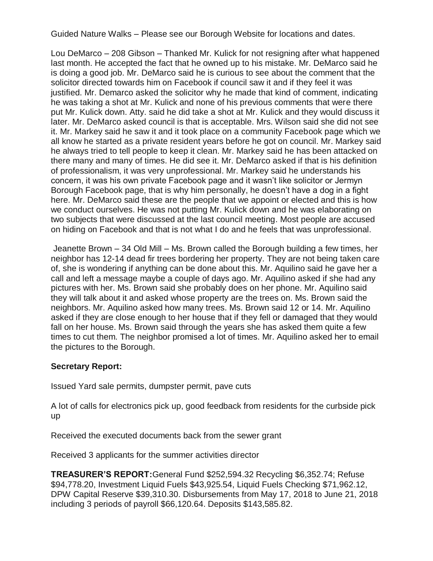Guided Nature Walks – Please see our Borough Website for locations and dates.

Lou DeMarco – 208 Gibson – Thanked Mr. Kulick for not resigning after what happened last month. He accepted the fact that he owned up to his mistake. Mr. DeMarco said he is doing a good job. Mr. DeMarco said he is curious to see about the comment that the solicitor directed towards him on Facebook if council saw it and if they feel it was justified. Mr. Demarco asked the solicitor why he made that kind of comment, indicating he was taking a shot at Mr. Kulick and none of his previous comments that were there put Mr. Kulick down. Atty. said he did take a shot at Mr. Kulick and they would discuss it later. Mr. DeMarco asked council is that is acceptable. Mrs. Wilson said she did not see it. Mr. Markey said he saw it and it took place on a community Facebook page which we all know he started as a private resident years before he got on council. Mr. Markey said he always tried to tell people to keep it clean. Mr. Markey said he has been attacked on there many and many of times. He did see it. Mr. DeMarco asked if that is his definition of professionalism, it was very unprofessional. Mr. Markey said he understands his concern, it was his own private Facebook page and it wasn't like solicitor or Jermyn Borough Facebook page, that is why him personally, he doesn't have a dog in a fight here. Mr. DeMarco said these are the people that we appoint or elected and this is how we conduct ourselves. He was not putting Mr. Kulick down and he was elaborating on two subjects that were discussed at the last council meeting. Most people are accused on hiding on Facebook and that is not what I do and he feels that was unprofessional.

Jeanette Brown – 34 Old Mill – Ms. Brown called the Borough building a few times, her neighbor has 12-14 dead fir trees bordering her property. They are not being taken care of, she is wondering if anything can be done about this. Mr. Aquilino said he gave her a call and left a message maybe a couple of days ago. Mr. Aquilino asked if she had any pictures with her. Ms. Brown said she probably does on her phone. Mr. Aquilino said they will talk about it and asked whose property are the trees on. Ms. Brown said the neighbors. Mr. Aquilino asked how many trees. Ms. Brown said 12 or 14. Mr. Aquilino asked if they are close enough to her house that if they fell or damaged that they would fall on her house. Ms. Brown said through the years she has asked them quite a few times to cut them. The neighbor promised a lot of times. Mr. Aquilino asked her to email the pictures to the Borough.

## **Secretary Report:**

Issued Yard sale permits, dumpster permit, pave cuts

A lot of calls for electronics pick up, good feedback from residents for the curbside pick up

Received the executed documents back from the sewer grant

Received 3 applicants for the summer activities director

**TREASURER'S REPORT:**General Fund \$252,594.32 Recycling \$6,352.74; Refuse \$94,778.20, Investment Liquid Fuels \$43,925.54, Liquid Fuels Checking \$71,962.12, DPW Capital Reserve \$39,310.30. Disbursements from May 17, 2018 to June 21, 2018 including 3 periods of payroll \$66,120.64. Deposits \$143,585.82.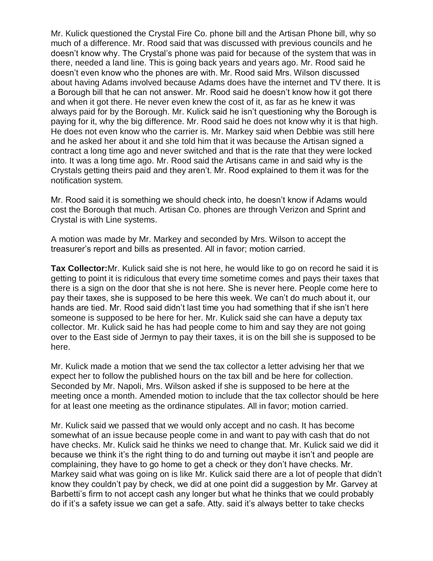Mr. Kulick questioned the Crystal Fire Co. phone bill and the Artisan Phone bill, why so much of a difference. Mr. Rood said that was discussed with previous councils and he doesn't know why. The Crystal's phone was paid for because of the system that was in there, needed a land line. This is going back years and years ago. Mr. Rood said he doesn't even know who the phones are with. Mr. Rood said Mrs. Wilson discussed about having Adams involved because Adams does have the internet and TV there. It is a Borough bill that he can not answer. Mr. Rood said he doesn't know how it got there and when it got there. He never even knew the cost of it, as far as he knew it was always paid for by the Borough. Mr. Kulick said he isn't questioning why the Borough is paying for it, why the big difference. Mr. Rood said he does not know why it is that high. He does not even know who the carrier is. Mr. Markey said when Debbie was still here and he asked her about it and she told him that it was because the Artisan signed a contract a long time ago and never switched and that is the rate that they were locked into. It was a long time ago. Mr. Rood said the Artisans came in and said why is the Crystals getting theirs paid and they aren't. Mr. Rood explained to them it was for the notification system.

Mr. Rood said it is something we should check into, he doesn't know if Adams would cost the Borough that much. Artisan Co. phones are through Verizon and Sprint and Crystal is with Line systems.

A motion was made by Mr. Markey and seconded by Mrs. Wilson to accept the treasurer's report and bills as presented. All in favor; motion carried.

**Tax Collector:**Mr. Kulick said she is not here, he would like to go on record he said it is getting to point it is ridiculous that every time sometime comes and pays their taxes that there is a sign on the door that she is not here. She is never here. People come here to pay their taxes, she is supposed to be here this week. We can't do much about it, our hands are tied. Mr. Rood said didn't last time you had something that if she isn't here someone is supposed to be here for her. Mr. Kulick said she can have a deputy tax collector. Mr. Kulick said he has had people come to him and say they are not going over to the East side of Jermyn to pay their taxes, it is on the bill she is supposed to be here.

Mr. Kulick made a motion that we send the tax collector a letter advising her that we expect her to follow the published hours on the tax bill and be here for collection. Seconded by Mr. Napoli, Mrs. Wilson asked if she is supposed to be here at the meeting once a month. Amended motion to include that the tax collector should be here for at least one meeting as the ordinance stipulates. All in favor; motion carried.

Mr. Kulick said we passed that we would only accept and no cash. It has become somewhat of an issue because people come in and want to pay with cash that do not have checks. Mr. Kulick said he thinks we need to change that. Mr. Kulick said we did it because we think it's the right thing to do and turning out maybe it isn't and people are complaining, they have to go home to get a check or they don't have checks. Mr. Markey said what was going on is like Mr. Kulick said there are a lot of people that didn't know they couldn't pay by check, we did at one point did a suggestion by Mr. Garvey at Barbetti's firm to not accept cash any longer but what he thinks that we could probably do if it's a safety issue we can get a safe. Atty. said it's always better to take checks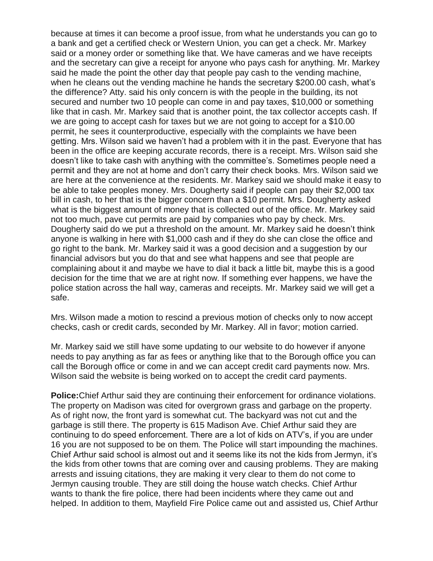because at times it can become a proof issue, from what he understands you can go to a bank and get a certified check or Western Union, you can get a check. Mr. Markey said or a money order or something like that. We have cameras and we have receipts and the secretary can give a receipt for anyone who pays cash for anything. Mr. Markey said he made the point the other day that people pay cash to the vending machine, when he cleans out the vending machine he hands the secretary \$200.00 cash, what's the difference? Atty. said his only concern is with the people in the building, its not secured and number two 10 people can come in and pay taxes, \$10,000 or something like that in cash. Mr. Markey said that is another point, the tax collector accepts cash. If we are going to accept cash for taxes but we are not going to accept for a \$10.00 permit, he sees it counterproductive, especially with the complaints we have been getting. Mrs. Wilson said we haven't had a problem with it in the past. Everyone that has been in the office are keeping accurate records, there is a receipt. Mrs. Wilson said she doesn't like to take cash with anything with the committee's. Sometimes people need a permit and they are not at home and don't carry their check books. Mrs. Wilson said we are here at the convenience at the residents. Mr. Markey said we should make it easy to be able to take peoples money. Mrs. Dougherty said if people can pay their \$2,000 tax bill in cash, to her that is the bigger concern than a \$10 permit. Mrs. Dougherty asked what is the biggest amount of money that is collected out of the office. Mr. Markey said not too much, pave cut permits are paid by companies who pay by check. Mrs. Dougherty said do we put a threshold on the amount. Mr. Markey said he doesn't think anyone is walking in here with \$1,000 cash and if they do she can close the office and go right to the bank. Mr. Markey said it was a good decision and a suggestion by our financial advisors but you do that and see what happens and see that people are complaining about it and maybe we have to dial it back a little bit, maybe this is a good decision for the time that we are at right now. If something ever happens, we have the police station across the hall way, cameras and receipts. Mr. Markey said we will get a safe.

Mrs. Wilson made a motion to rescind a previous motion of checks only to now accept checks, cash or credit cards, seconded by Mr. Markey. All in favor; motion carried.

Mr. Markey said we still have some updating to our website to do however if anyone needs to pay anything as far as fees or anything like that to the Borough office you can call the Borough office or come in and we can accept credit card payments now. Mrs. Wilson said the website is being worked on to accept the credit card payments.

**Police:**Chief Arthur said they are continuing their enforcement for ordinance violations. The property on Madison was cited for overgrown grass and garbage on the property. As of right now, the front yard is somewhat cut. The backyard was not cut and the garbage is still there. The property is 615 Madison Ave. Chief Arthur said they are continuing to do speed enforcement. There are a lot of kids on ATV's, if you are under 16 you are not supposed to be on them. The Police will start impounding the machines. Chief Arthur said school is almost out and it seems like its not the kids from Jermyn, it's the kids from other towns that are coming over and causing problems. They are making arrests and issuing citations, they are making it very clear to them do not come to Jermyn causing trouble. They are still doing the house watch checks. Chief Arthur wants to thank the fire police, there had been incidents where they came out and helped. In addition to them, Mayfield Fire Police came out and assisted us, Chief Arthur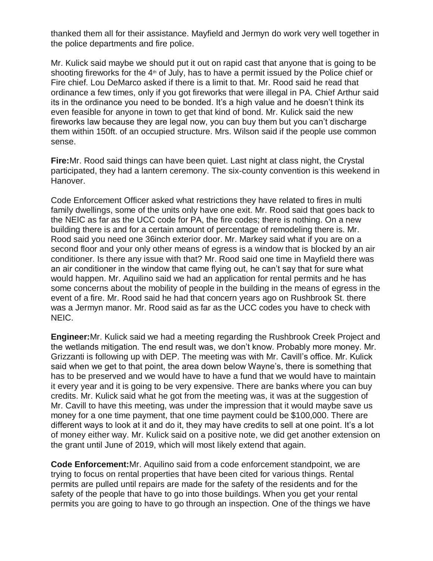thanked them all for their assistance. Mayfield and Jermyn do work very well together in the police departments and fire police.

Mr. Kulick said maybe we should put it out on rapid cast that anyone that is going to be shooting fireworks for the  $4<sup>th</sup>$  of July, has to have a permit issued by the Police chief or Fire chief. Lou DeMarco asked if there is a limit to that. Mr. Rood said he read that ordinance a few times, only if you got fireworks that were illegal in PA. Chief Arthur said its in the ordinance you need to be bonded. It's a high value and he doesn't think its even feasible for anyone in town to get that kind of bond. Mr. Kulick said the new fireworks law because they are legal now, you can buy them but you can't discharge them within 150ft. of an occupied structure. Mrs. Wilson said if the people use common sense.

**Fire:**Mr. Rood said things can have been quiet. Last night at class night, the Crystal participated, they had a lantern ceremony. The six-county convention is this weekend in Hanover.

Code Enforcement Officer asked what restrictions they have related to fires in multi family dwellings, some of the units only have one exit. Mr. Rood said that goes back to the NEIC as far as the UCC code for PA, the fire codes; there is nothing. On a new building there is and for a certain amount of percentage of remodeling there is. Mr. Rood said you need one 36inch exterior door. Mr. Markey said what if you are on a second floor and your only other means of egress is a window that is blocked by an air conditioner. Is there any issue with that? Mr. Rood said one time in Mayfield there was an air conditioner in the window that came flying out, he can't say that for sure what would happen. Mr. Aquilino said we had an application for rental permits and he has some concerns about the mobility of people in the building in the means of egress in the event of a fire. Mr. Rood said he had that concern years ago on Rushbrook St. there was a Jermyn manor. Mr. Rood said as far as the UCC codes you have to check with NEIC.

**Engineer:**Mr. Kulick said we had a meeting regarding the Rushbrook Creek Project and the wetlands mitigation. The end result was, we don't know. Probably more money. Mr. Grizzanti is following up with DEP. The meeting was with Mr. Cavill's office. Mr. Kulick said when we get to that point, the area down below Wayne's, there is something that has to be preserved and we would have to have a fund that we would have to maintain it every year and it is going to be very expensive. There are banks where you can buy credits. Mr. Kulick said what he got from the meeting was, it was at the suggestion of Mr. Cavill to have this meeting, was under the impression that it would maybe save us money for a one time payment, that one time payment could be \$100,000. There are different ways to look at it and do it, they may have credits to sell at one point. It's a lot of money either way. Mr. Kulick said on a positive note, we did get another extension on the grant until June of 2019, which will most likely extend that again.

**Code Enforcement:**Mr. Aquilino said from a code enforcement standpoint, we are trying to focus on rental properties that have been cited for various things. Rental permits are pulled until repairs are made for the safety of the residents and for the safety of the people that have to go into those buildings. When you get your rental permits you are going to have to go through an inspection. One of the things we have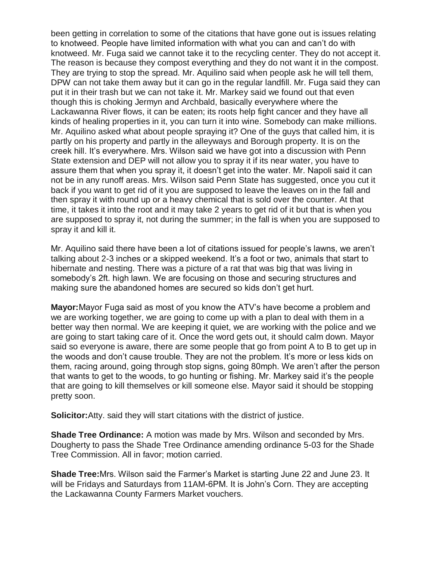been getting in correlation to some of the citations that have gone out is issues relating to knotweed. People have limited information with what you can and can't do with knotweed. Mr. Fuga said we cannot take it to the recycling center. They do not accept it. The reason is because they compost everything and they do not want it in the compost. They are trying to stop the spread. Mr. Aquilino said when people ask he will tell them, DPW can not take them away but it can go in the regular landfill. Mr. Fuga said they can put it in their trash but we can not take it. Mr. Markey said we found out that even though this is choking Jermyn and Archbald, basically everywhere where the Lackawanna River flows, it can be eaten; its roots help fight cancer and they have all kinds of healing properties in it, you can turn it into wine. Somebody can make millions. Mr. Aquilino asked what about people spraying it? One of the guys that called him, it is partly on his property and partly in the alleyways and Borough property. It is on the creek hill. It's everywhere. Mrs. Wilson said we have got into a discussion with Penn State extension and DEP will not allow you to spray it if its near water, you have to assure them that when you spray it, it doesn't get into the water. Mr. Napoli said it can not be in any runoff areas. Mrs. Wilson said Penn State has suggested, once you cut it back if you want to get rid of it you are supposed to leave the leaves on in the fall and then spray it with round up or a heavy chemical that is sold over the counter. At that time, it takes it into the root and it may take 2 years to get rid of it but that is when you are supposed to spray it, not during the summer; in the fall is when you are supposed to spray it and kill it.

Mr. Aquilino said there have been a lot of citations issued for people's lawns, we aren't talking about 2-3 inches or a skipped weekend. It's a foot or two, animals that start to hibernate and nesting. There was a picture of a rat that was big that was living in somebody's 2ft. high lawn. We are focusing on those and securing structures and making sure the abandoned homes are secured so kids don't get hurt.

**Mayor:**Mayor Fuga said as most of you know the ATV's have become a problem and we are working together, we are going to come up with a plan to deal with them in a better way then normal. We are keeping it quiet, we are working with the police and we are going to start taking care of it. Once the word gets out, it should calm down. Mayor said so everyone is aware, there are some people that go from point A to B to get up in the woods and don't cause trouble. They are not the problem. It's more or less kids on them, racing around, going through stop signs, going 80mph. We aren't after the person that wants to get to the woods, to go hunting or fishing. Mr. Markey said it's the people that are going to kill themselves or kill someone else. Mayor said it should be stopping pretty soon.

**Solicitor:**Atty. said they will start citations with the district of justice.

**Shade Tree Ordinance:** A motion was made by Mrs. Wilson and seconded by Mrs. Dougherty to pass the Shade Tree Ordinance amending ordinance 5-03 for the Shade Tree Commission. All in favor; motion carried.

**Shade Tree:**Mrs. Wilson said the Farmer's Market is starting June 22 and June 23. It will be Fridays and Saturdays from 11AM-6PM. It is John's Corn. They are accepting the Lackawanna County Farmers Market vouchers.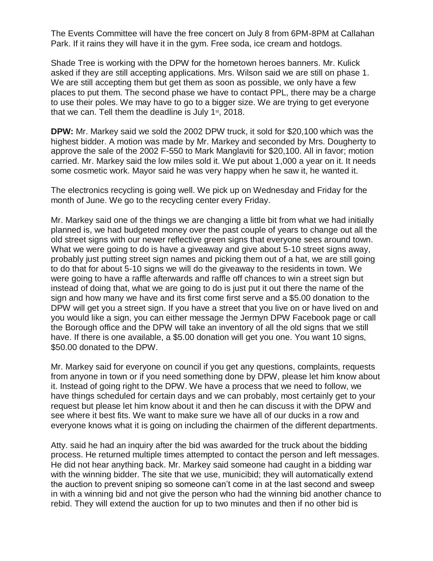The Events Committee will have the free concert on July 8 from 6PM-8PM at Callahan Park. If it rains they will have it in the gym. Free soda, ice cream and hotdogs.

Shade Tree is working with the DPW for the hometown heroes banners. Mr. Kulick asked if they are still accepting applications. Mrs. Wilson said we are still on phase 1. We are still accepting them but get them as soon as possible, we only have a few places to put them. The second phase we have to contact PPL, there may be a charge to use their poles. We may have to go to a bigger size. We are trying to get everyone that we can. Tell them the deadline is July  $1<sup>st</sup>$ , 2018.

**DPW:** Mr. Markey said we sold the 2002 DPW truck, it sold for \$20,100 which was the highest bidder. A motion was made by Mr. Markey and seconded by Mrs. Dougherty to approve the sale of the 2002 F-550 to Mark Manglaviti for \$20,100. All in favor; motion carried. Mr. Markey said the low miles sold it. We put about 1,000 a year on it. It needs some cosmetic work. Mayor said he was very happy when he saw it, he wanted it.

The electronics recycling is going well. We pick up on Wednesday and Friday for the month of June. We go to the recycling center every Friday.

Mr. Markey said one of the things we are changing a little bit from what we had initially planned is, we had budgeted money over the past couple of years to change out all the old street signs with our newer reflective green signs that everyone sees around town. What we were going to do is have a giveaway and give about 5-10 street signs away, probably just putting street sign names and picking them out of a hat, we are still going to do that for about 5-10 signs we will do the giveaway to the residents in town. We were going to have a raffle afterwards and raffle off chances to win a street sign but instead of doing that, what we are going to do is just put it out there the name of the sign and how many we have and its first come first serve and a \$5.00 donation to the DPW will get you a street sign. If you have a street that you live on or have lived on and you would like a sign, you can either message the Jermyn DPW Facebook page or call the Borough office and the DPW will take an inventory of all the old signs that we still have. If there is one available, a \$5.00 donation will get you one. You want 10 signs, \$50.00 donated to the DPW.

Mr. Markey said for everyone on council if you get any questions, complaints, requests from anyone in town or if you need something done by DPW, please let him know about it. Instead of going right to the DPW. We have a process that we need to follow, we have things scheduled for certain days and we can probably, most certainly get to your request but please let him know about it and then he can discuss it with the DPW and see where it best fits. We want to make sure we have all of our ducks in a row and everyone knows what it is going on including the chairmen of the different departments.

Atty. said he had an inquiry after the bid was awarded for the truck about the bidding process. He returned multiple times attempted to contact the person and left messages. He did not hear anything back. Mr. Markey said someone had caught in a bidding war with the winning bidder. The site that we use, municibid; they will automatically extend the auction to prevent sniping so someone can't come in at the last second and sweep in with a winning bid and not give the person who had the winning bid another chance to rebid. They will extend the auction for up to two minutes and then if no other bid is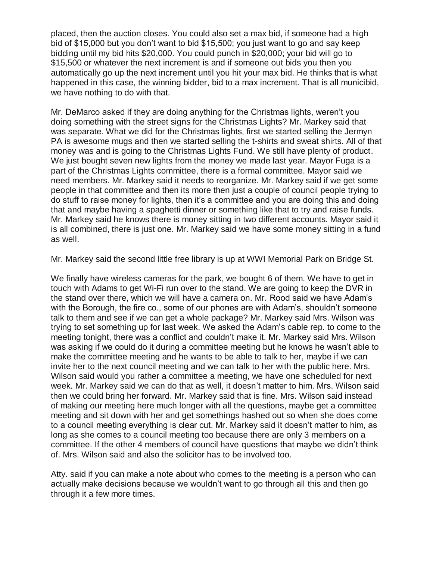placed, then the auction closes. You could also set a max bid, if someone had a high bid of \$15,000 but you don't want to bid \$15,500; you just want to go and say keep bidding until my bid hits \$20,000. You could punch in \$20,000; your bid will go to \$15,500 or whatever the next increment is and if someone out bids you then you automatically go up the next increment until you hit your max bid. He thinks that is what happened in this case, the winning bidder, bid to a max increment. That is all municibid, we have nothing to do with that.

Mr. DeMarco asked if they are doing anything for the Christmas lights, weren't you doing something with the street signs for the Christmas Lights? Mr. Markey said that was separate. What we did for the Christmas lights, first we started selling the Jermyn PA is awesome mugs and then we started selling the t-shirts and sweat shirts. All of that money was and is going to the Christmas Lights Fund. We still have plenty of product. We just bought seven new lights from the money we made last year. Mayor Fuga is a part of the Christmas Lights committee, there is a formal committee. Mayor said we need members. Mr. Markey said it needs to reorganize. Mr. Markey said if we get some people in that committee and then its more then just a couple of council people trying to do stuff to raise money for lights, then it's a committee and you are doing this and doing that and maybe having a spaghetti dinner or something like that to try and raise funds. Mr. Markey said he knows there is money sitting in two different accounts. Mayor said it is all combined, there is just one. Mr. Markey said we have some money sitting in a fund as well.

Mr. Markey said the second little free library is up at WWI Memorial Park on Bridge St.

We finally have wireless cameras for the park, we bought 6 of them. We have to get in touch with Adams to get Wi-Fi run over to the stand. We are going to keep the DVR in the stand over there, which we will have a camera on. Mr. Rood said we have Adam's with the Borough, the fire co., some of our phones are with Adam's, shouldn't someone talk to them and see if we can get a whole package? Mr. Markey said Mrs. Wilson was trying to set something up for last week. We asked the Adam's cable rep. to come to the meeting tonight, there was a conflict and couldn't make it. Mr. Markey said Mrs. Wilson was asking if we could do it during a committee meeting but he knows he wasn't able to make the committee meeting and he wants to be able to talk to her, maybe if we can invite her to the next council meeting and we can talk to her with the public here. Mrs. Wilson said would you rather a committee a meeting, we have one scheduled for next week. Mr. Markey said we can do that as well, it doesn't matter to him. Mrs. Wilson said then we could bring her forward. Mr. Markey said that is fine. Mrs. Wilson said instead of making our meeting here much longer with all the questions, maybe get a committee meeting and sit down with her and get somethings hashed out so when she does come to a council meeting everything is clear cut. Mr. Markey said it doesn't matter to him, as long as she comes to a council meeting too because there are only 3 members on a committee. If the other 4 members of council have questions that maybe we didn't think of. Mrs. Wilson said and also the solicitor has to be involved too.

Atty. said if you can make a note about who comes to the meeting is a person who can actually make decisions because we wouldn't want to go through all this and then go through it a few more times.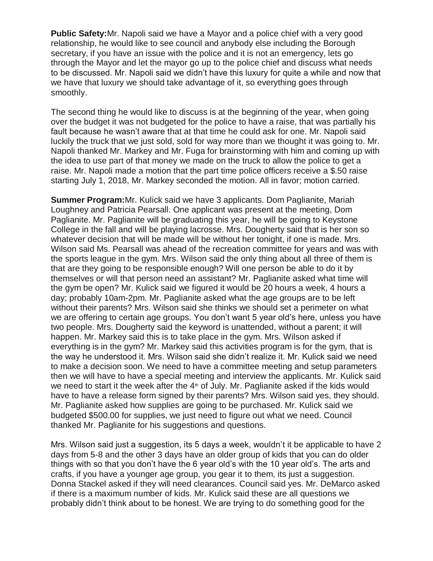**Public Safety:**Mr. Napoli said we have a Mayor and a police chief with a very good relationship, he would like to see council and anybody else including the Borough secretary, if you have an issue with the police and it is not an emergency, lets go through the Mayor and let the mayor go up to the police chief and discuss what needs to be discussed. Mr. Napoli said we didn't have this luxury for quite a while and now that we have that luxury we should take advantage of it, so everything goes through smoothly.

The second thing he would like to discuss is at the beginning of the year, when going over the budget it was not budgeted for the police to have a raise, that was partially his fault because he wasn't aware that at that time he could ask for one. Mr. Napoli said luckily the truck that we just sold, sold for way more than we thought it was going to. Mr. Napoli thanked Mr. Markey and Mr. Fuga for brainstorming with him and coming up with the idea to use part of that money we made on the truck to allow the police to get a raise. Mr. Napoli made a motion that the part time police officers receive a \$.50 raise starting July 1, 2018, Mr. Markey seconded the motion. All in favor; motion carried.

**Summer Program:**Mr. Kulick said we have 3 applicants. Dom Paglianite, Mariah Loughney and Patricia Pearsall. One applicant was present at the meeting, Dom Paglianite. Mr. Paglianite will be graduating this year, he will be going to Keystone College in the fall and will be playing lacrosse. Mrs. Dougherty said that is her son so whatever decision that will be made will be without her tonight, if one is made. Mrs. Wilson said Ms. Pearsall was ahead of the recreation committee for years and was with the sports league in the gym. Mrs. Wilson said the only thing about all three of them is that are they going to be responsible enough? Will one person be able to do it by themselves or will that person need an assistant? Mr. Paglianite asked what time will the gym be open? Mr. Kulick said we figured it would be 20 hours a week, 4 hours a day; probably 10am-2pm. Mr. Paglianite asked what the age groups are to be left without their parents? Mrs. Wilson said she thinks we should set a perimeter on what we are offering to certain age groups. You don't want 5 year old's here, unless you have two people. Mrs. Dougherty said the keyword is unattended, without a parent; it will happen. Mr. Markey said this is to take place in the gym. Mrs. Wilson asked if everything is in the gym? Mr. Markey said this activities program is for the gym, that is the way he understood it. Mrs. Wilson said she didn't realize it. Mr. Kulick said we need to make a decision soon. We need to have a committee meeting and setup parameters then we will have to have a special meeting and interview the applicants. Mr. Kulick said we need to start it the week after the  $4<sup>th</sup>$  of July. Mr. Paglianite asked if the kids would have to have a release form signed by their parents? Mrs. Wilson said yes, they should. Mr. Paglianite asked how supplies are going to be purchased. Mr. Kulick said we budgeted \$500.00 for supplies, we just need to figure out what we need. Council thanked Mr. Paglianite for his suggestions and questions.

Mrs. Wilson said just a suggestion, its 5 days a week, wouldn't it be applicable to have 2 days from 5-8 and the other 3 days have an older group of kids that you can do older things with so that you don't have the 6 year old's with the 10 year old's. The arts and crafts, if you have a younger age group, you gear it to them, its just a suggestion. Donna Stackel asked if they will need clearances. Council said yes. Mr. DeMarco asked if there is a maximum number of kids. Mr. Kulick said these are all questions we probably didn't think about to be honest. We are trying to do something good for the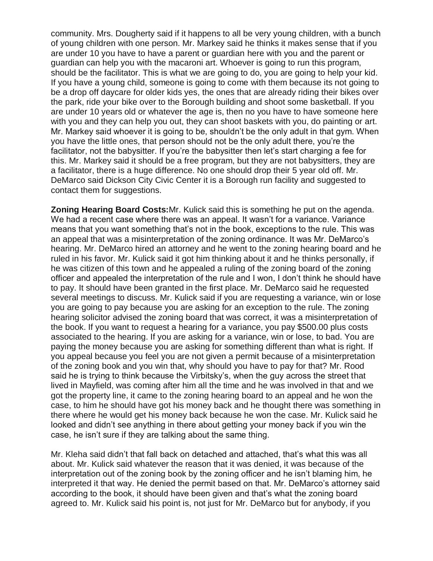community. Mrs. Dougherty said if it happens to all be very young children, with a bunch of young children with one person. Mr. Markey said he thinks it makes sense that if you are under 10 you have to have a parent or guardian here with you and the parent or guardian can help you with the macaroni art. Whoever is going to run this program, should be the facilitator. This is what we are going to do, you are going to help your kid. If you have a young child, someone is going to come with them because its not going to be a drop off daycare for older kids yes, the ones that are already riding their bikes over the park, ride your bike over to the Borough building and shoot some basketball. If you are under 10 years old or whatever the age is, then no you have to have someone here with you and they can help you out, they can shoot baskets with you, do painting or art. Mr. Markey said whoever it is going to be, shouldn't be the only adult in that gym. When you have the little ones, that person should not be the only adult there, you're the facilitator, not the babysitter. If you're the babysitter then let's start charging a fee for this. Mr. Markey said it should be a free program, but they are not babysitters, they are a facilitator, there is a huge difference. No one should drop their 5 year old off. Mr. DeMarco said Dickson City Civic Center it is a Borough run facility and suggested to contact them for suggestions.

**Zoning Hearing Board Costs:**Mr. Kulick said this is something he put on the agenda. We had a recent case where there was an appeal. It wasn't for a variance. Variance means that you want something that's not in the book, exceptions to the rule. This was an appeal that was a misinterpretation of the zoning ordinance. It was Mr. DeMarco's hearing. Mr. DeMarco hired an attorney and he went to the zoning hearing board and he ruled in his favor. Mr. Kulick said it got him thinking about it and he thinks personally, if he was citizen of this town and he appealed a ruling of the zoning board of the zoning officer and appealed the interpretation of the rule and I won, I don't think he should have to pay. It should have been granted in the first place. Mr. DeMarco said he requested several meetings to discuss. Mr. Kulick said if you are requesting a variance, win or lose you are going to pay because you are asking for an exception to the rule. The zoning hearing solicitor advised the zoning board that was correct, it was a misinterpretation of the book. If you want to request a hearing for a variance, you pay \$500.00 plus costs associated to the hearing. If you are asking for a variance, win or lose, to bad. You are paying the money because you are asking for something different than what is right. If you appeal because you feel you are not given a permit because of a misinterpretation of the zoning book and you win that, why should you have to pay for that? Mr. Rood said he is trying to think because the Virbitsky's, when the guy across the street that lived in Mayfield, was coming after him all the time and he was involved in that and we got the property line, it came to the zoning hearing board to an appeal and he won the case, to him he should have got his money back and he thought there was something in there where he would get his money back because he won the case. Mr. Kulick said he looked and didn't see anything in there about getting your money back if you win the case, he isn't sure if they are talking about the same thing.

Mr. Kleha said didn't that fall back on detached and attached, that's what this was all about. Mr. Kulick said whatever the reason that it was denied, it was because of the interpretation out of the zoning book by the zoning officer and he isn't blaming him, he interpreted it that way. He denied the permit based on that. Mr. DeMarco's attorney said according to the book, it should have been given and that's what the zoning board agreed to. Mr. Kulick said his point is, not just for Mr. DeMarco but for anybody, if you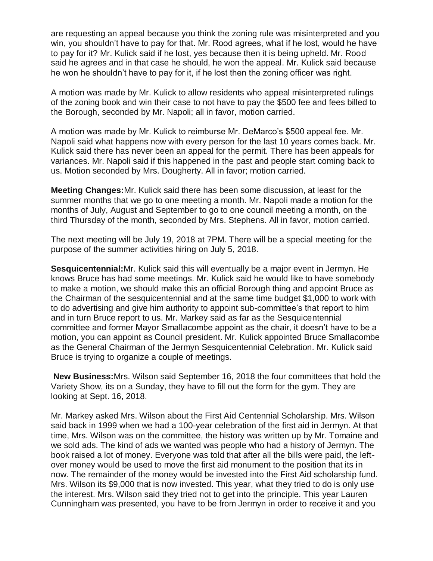are requesting an appeal because you think the zoning rule was misinterpreted and you win, you shouldn't have to pay for that. Mr. Rood agrees, what if he lost, would he have to pay for it? Mr. Kulick said if he lost, yes because then it is being upheld. Mr. Rood said he agrees and in that case he should, he won the appeal. Mr. Kulick said because he won he shouldn't have to pay for it, if he lost then the zoning officer was right.

A motion was made by Mr. Kulick to allow residents who appeal misinterpreted rulings of the zoning book and win their case to not have to pay the \$500 fee and fees billed to the Borough, seconded by Mr. Napoli; all in favor, motion carried.

A motion was made by Mr. Kulick to reimburse Mr. DeMarco's \$500 appeal fee. Mr. Napoli said what happens now with every person for the last 10 years comes back. Mr. Kulick said there has never been an appeal for the permit. There has been appeals for variances. Mr. Napoli said if this happened in the past and people start coming back to us. Motion seconded by Mrs. Dougherty. All in favor; motion carried.

**Meeting Changes:**Mr. Kulick said there has been some discussion, at least for the summer months that we go to one meeting a month. Mr. Napoli made a motion for the months of July, August and September to go to one council meeting a month, on the third Thursday of the month, seconded by Mrs. Stephens. All in favor, motion carried.

The next meeting will be July 19, 2018 at 7PM. There will be a special meeting for the purpose of the summer activities hiring on July 5, 2018.

**Sesquicentennial:**Mr. Kulick said this will eventually be a major event in Jermyn. He knows Bruce has had some meetings. Mr. Kulick said he would like to have somebody to make a motion, we should make this an official Borough thing and appoint Bruce as the Chairman of the sesquicentennial and at the same time budget \$1,000 to work with to do advertising and give him authority to appoint sub-committee's that report to him and in turn Bruce report to us. Mr. Markey said as far as the Sesquicentennial committee and former Mayor Smallacombe appoint as the chair, it doesn't have to be a motion, you can appoint as Council president. Mr. Kulick appointed Bruce Smallacombe as the General Chairman of the Jermyn Sesquicentennial Celebration. Mr. Kulick said Bruce is trying to organize a couple of meetings.

**New Business:**Mrs. Wilson said September 16, 2018 the four committees that hold the Variety Show, its on a Sunday, they have to fill out the form for the gym. They are looking at Sept. 16, 2018.

Mr. Markey asked Mrs. Wilson about the First Aid Centennial Scholarship. Mrs. Wilson said back in 1999 when we had a 100-year celebration of the first aid in Jermyn. At that time, Mrs. Wilson was on the committee, the history was written up by Mr. Tomaine and we sold ads. The kind of ads we wanted was people who had a history of Jermyn. The book raised a lot of money. Everyone was told that after all the bills were paid, the leftover money would be used to move the first aid monument to the position that its in now. The remainder of the money would be invested into the First Aid scholarship fund. Mrs. Wilson its \$9,000 that is now invested. This year, what they tried to do is only use the interest. Mrs. Wilson said they tried not to get into the principle. This year Lauren Cunningham was presented, you have to be from Jermyn in order to receive it and you